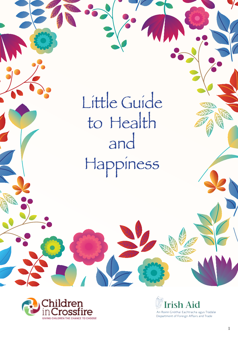SAMPLITTLE Guide<br>Little Guide<br>to Health and<br>Happiness Little Guide to Health and Happiness

SEARCH SAMPLES



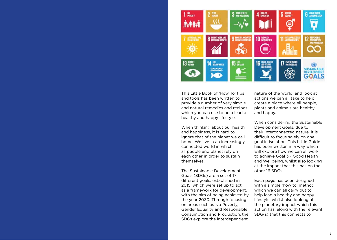

This Little Book of 'How To' tips and tools has been written to provide a number of very simple and natural remedies and recipes which you can use to help lead a healthy and happy lifestyle.

When thinking about our health and happiness, it is hard to ignore that of the planet we call home. We live in an increasingly connected world in which all people and planet rely on each other in order to sustain themselves.

The Sustainable Development Goals (SDGs) are a set of 17 different goals, established in 2015, which were set up to act as a framework for development, with the aim of being achieved by the year 2030. Through focusing on areas such as No Poverty, Gender Equality and Responsible Consumption and Production, the SDGs explore the interdependent

nature of the world, and look at actions we can all take to help create a place where all people, plants and animals are healthy and happy.

When considering the Sustainable Development Goals, due to their interconnected nature, it is difficult to focus solely on one goal in isolation. This Little Guide has been written in a way which will explore how we can all work to achieve Goal 3 - Good Health and Wellbeing, whilst also looking at the impact that this has on the other 16 SDGs.

Each page has been designed with a simple 'how to' method which we can all carry out to help lead a healthy and happy lifestyle, whilst also looking at the planetary impact which this action has, along with the relevant SDG(s) that this connects to.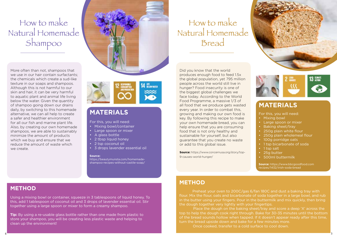# How to make Natural Homemade Shampoo

More often than not, shampoos that we use in our hair contain surfactants; the chemicals which create a sud-like texture in our soaps and shampoos. Although this is not harmful to our skin and hair, it can be very harmful to aquatic plant and animal life living below the water. Given the quantity of shampoo going down our drains daily, by switching to this homemade alternative, we can all help to create a safer and healthier environment for all our fish and marine plant life. Also, by creating our own homemade shampoos, we are able to sustainably minimize the amount of products which we buy and ensure that we reduce the amount of waste which we create.





### **MATERIALS**

For this, you will need:

- Mixing bowl/container
- • Large spoon or mixer
- A glass bottle
- 2 tbsp liquid honey
- 2 tsp coconut oil
- • 3 drops lavender essential oil

#### **Source:**

https://beautymunsta.com/homemadeshampoo-recipes-without-castile-soap/

## How to make Natural Homemade **Bread**



Did you know that the world produces enough food to feed 1.5x the global population, yet 795 million people across the world still live in hunger? Food insecurity is one of the biggest global challenges we face today. According to the World Food Programme, a massive 1/3 of all food that we produce gets wasted every year. In order to combat this, growing and making our own food is key. By following this recipe to make your own homemade bread, you can help ensure that you are consuming food that is not only healthy and sustainable for yourself, but also guarantee that you create no waste or add to this global issue.

**Source:** https://www.concernusa.org/story/top-9-causes-world-hunger/



#### **MATERIALS**

For this, you will need:

- Mixing bowl
- • Large spoon or mixer
- Baking sheet/tray
- 250g plain white flour
- 250g plain wholemeal flour
- 100g porridge oats
- 1 tsp bicarbonate of soda
- 1 tsp salt
- 25g butter
- 500ml buttermilk

**Source:** https://www.bbcgoodfood.com recipes/1432/irish-soda-bread

5

#### **METHOD**

4

Using a mixing bowl or container, squeeze in 3 tablespoons of liquid honey. To this, add 1 tablespoon of coconut oil and 3 drops of lavender essential oil. Stir together using a large spoon or mixer to form a creamy shampoo.

**Tip:** By using a re-usable glass bottle rather than one made from plastic to store your shampoo, you will be creating less plastic waste and helping to clean up the environment!

#### **METHOD**

**Step 1:** Preheat your oven to 200C/gas 6/fan 180C and dust a baking tray with flour. Mix the flour, oats and bicarbonate of soda together in a large bowl, and rub in the butter using your fingers. Pour in the buttermilk and mix quickly, then bring the dough together very lightly with your fingertips.

**Step 2:** Place the dough on the baking sheet/tray and score a deep 'X' across the top to help the dough cook right through. Bake for 30-35 minutes until the bottom of the bread sounds hollow when tapped. If it doesn't appear ready after this time, turn the bread upside down and bake for a few minutes more.

Once cooked, transfer to a cold surface to cool down.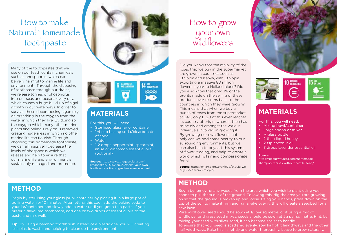# How to make Natural Homemade Toothpaste

Many of the toothpastes that we use on our teeth contain chemicals such as phosphorus, which can be very harmful to marine life and environment. Through the disposing of toothpaste through our drains, we release tonnes of phosphorus into our seas and oceans every day, which causes a huge build-up of algal growth in our waterways. In order to survive, these decomposing algae rely on breathing in the oxygen from the water in which they live. By doing so, the oxygen which many other marine plants and animals rely on is removed, creating huge areas in which no other marine life can flourish. Through choosing this homemade toothpaste, we can all massively decrease the levels of phosphorus which we release and help to ensure that our marine life and environment is sustainably managed and protected.





### **MATERIALS**

For this, you will need:

- • Sterilised glass jar or container
- 1/4 cup baking soda/bicarbonate of soda • Water
- 
- • 1-2 drops peppermint, spearmint, anise or cinnamon essential oils (optional)

**Source:** https://www.theguardian.com/ lifeandstyle/2016/feb/23/make-your-owntoothpaste-lotion-ingredients-environment

# How to grow your own wildflowers

Did you know that the majority of the roses that we buy in the supermarket are grown in countries such as Ethiopia and Kenya, with Ethiopia exporting a massive 80 million flowers a year to Holland alone? Did you also know that only 3% of the profits made on the selling of these products ever returns back to the countries in which they were grown? This means that when we buy a bunch of roses from the supermarket at £40, only £1.20 of this ever reaches its country of origin, where it then has to be divided amongst the various individuals involved in growing it. By growing our own flowers, not only can we add some beauty to our surrounding environments, but we can also help to boycott this system of flower trading, and help to create a world which is fair and compassionate for all.

**Source:** https://oxfamblogs.org/fp2p/should-webuy-roses-from-ethiopia/

### **METHOD**

Begin by removing any weeds from the area which you wish to plant using your hands to pull them out of the ground. Following this, dig the area you are growing on so that the ground is broken up and loose. Using your hands, press down on the top of the soil to make it firm and run a rake over it; this will create a seedbed for a new lawn.

Pure wildflower seed should be sown at 1g per sq metre, or if using a mix of wildflower and grass seed mixes, seeds should be sown at 5g per sq metre. Hint: by mixing your seed with silver sand, it can become easier to handle.

To ensure that your seed is scattered evenly, sow half of it lengthways and the other half widthways. Rake this in lightly and water thoroughly. Leave to grow naturally.



Begin by sterilising your glass jar or container by placing it in a large pot of boiling water for 10 minutes. After letting this cool, add the baking soda to your jar/container and slowly add in water until you get a thin paste. If you prefer a flavoured toothpaste, add one or two drops of essential oils to the paste and mix well.

**Tip:** By using a bamboo toothbrush instead of a plastic one, you will creating less plastic waste and helping to clean up the environment!

6

10 **HEUCED** 

#### **MATERIALS**

For this, you will need:

- Mixing bowl/container
- • Large spoon or mixer
- A glass bottle
- 2 tbsp liquid honey
- 2 tsp coconut oil
- • 3 drops lavender essential oil

**Source:** 

https://beautymunsta.com/homemadeshampoo-recipes-without-castile-soap/

7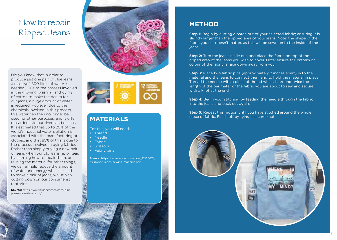# How to repair Ripped Jeans

Did you know that in order to produce just one pair of blue jeans a massive 1,800 litres of water is needed? Due to the process involved in the growing, washing and dying of cotton to make the denim for our jeans, a huge amount of water is required. However, due to the chemicals involved in this process, this water can then no longer be used for other purposes, and is often discarded into our rivers and oceans. It is estimated that up to 20% of the world's industrial water pollution is associated with the manufacturing of clothes, and that 85% of this is due to the process involved in dying fabrics. Rather than simply buying a new pair of jeans when our old jeans rip or tear, by learning how to repair them, or reusing the material for other things, we can all help reduce the amount of water and energy which is used to make a pair of jeans, whilst also cutting down on our consumerist footprint.

**Source:** https://www.fluencecorp.com/bluejeans-water-footprint/



### **MATERIALS**

For this, you will need:

- Thread
- • Needle
- • Fabric
- • Scissors
- Fabric pins

**Source:** https://www.ehow.com/how\_12165671\_ fix-ripped-jeans-sewing-machine.html

#### **METHOD**

**Step 1:** Begin by cutting a patch out of your selected fabric; ensuring it is slightly larger than the ripped area of your jeans. Note: the shape of the fabric you cut doesn't matter, as this will be sewn on to the inside of the ieans.

**Step 2:** Turn the jeans inside out, and place the fabric on top of the ripped area of the jeans you wish to cover. Note: ensure the pattern or colour of the fabric is face down away from you.

**Step 3:** Place two fabric pins (approximately 2 inches apart) in to the material and the jeans to connect them and to hold the material in place. Thread the needle with a piece of thread which is around twice the length of the perimeter of the fabric you are about to sew and secure with a knot at the end.

**Step 4:** Begin your stitching by feeding the needle through the fabric into the jeans and back out again.

**Step 5:** Repeat this motion until you have stitched around the whole piece of fabric. Finish off by tying a secure knot.

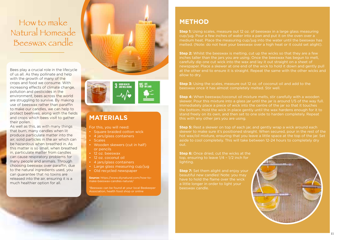# How to make Natural Homeade Beeswax candle

Bees play a crucial role in the lifecycle of us all. As they pollinate and help with the growth of many of the crops and food we consume. With increasing effects of climate change, pollution and pesticides in the environment, bees across the world are struggling to survive. By making use of beeswax rather than paraffin to make our candles, we can help to protect beehives, along with the fields and crops which bees visit to gather their pollen.

As well as this, as with many things that burn, many candles when lit produce particulate matter into the air; solid particles in the air which can be hazardous when breathed in. As this matter is so small, when breathed in, particulate matter from candles can cause respiratory problems for many people and animals. Through choosing beeswax over paraffin, due to the natural ingredients used, you can guarantee that no toxins are released into the air, ensuring it is a much healthier option for all.



3 GOOD HEALTH

### **MATERIALS**

For this, you will need:

- Square braided cotton wick
- 4 jars/glass containers
- • Scales
- Wooden skewers (cut in half) or pencils
- 12 oz. beeswax
- 12 oz. coconut oil
- • 4 jars/glass containers
- Large glass measuring cup/jug
- • Old recycled newspaper

**Source:** https://www.divnatural.com/how-tomake-beeswax-candles-natural/

\*Beeswax can be found at your local Beekeeper Association, health food shop or online

### **METHOD**

**Step 1:** Using scales, measure out 12 oz. of beeswax in a large glass measuring cup/jug. Pour a few inches of water into a pan and put it on the oven over a medium heat. Place the measuring cup/jug into the water until the beeswax has melted. (Note: do not heat your beeswax over a high heat or it could set alight).

**Step 2:** Whilst the beeswax is melting, cut up the wicks so that they are a few inches taller than the jars you are using. Once the beeswax has begun to melt, carefully dip one cut wick into the wax and lay it out straight on a sheet of newspaper. Place a skewer at one end of the wick to hold it down and gently pull at the other end to ensure it is straight. Repeat the same with the other wicks and allow to dry.

**Step 3:** Using the scales, measure out 12 oz. of coconut oil and add to the beeswax once it has almost completely melted. Stir well.

**Step 4:** When beeswax/coconut oil mixture melts, stir carefully with a wooden skewer. Pour this mixture into a glass jar until the jar is around 1/5 of the way full. Immediately place a piece of wick into the centre of the jar so that it touches the bottom. Hold the wick in place gently until the wax hardens enough for it to stand freely on its own, and then set to one side to harden completely. Repeat this with any other jars you are using.

**Step 5:** Rest a skewer on top of each jar, and gently wrap a wick around each skewer to make sure it's positioned straight. When secured, pour in the rest of the hot wax/oil mixture, ensuring that you leave a little space at the top of the jar. Set aside to cool completely. This will take between 12-24 hours to completely dry out.

**Step 6:** Once dried, cut the wicks at the top, ensuring to leave 1/4 – 1/2 inch for lighting.

**Step 7:** Set them alight and enjoy your beautiful new candles! Note: you may have to hold the flame over the wick a little longer in order to light your beeswax candle.



11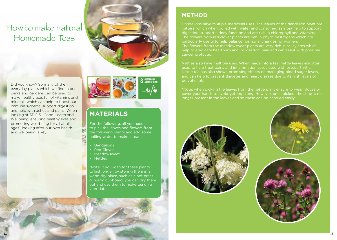## How to make natural Homemade Teas

Did you know? So many of the everyday plants which we find in our parks and gardens can be used to make healthy teas full of vitamins and minerals which can help to boost our immune systems, support digestion and help with aches and pains. When looking at SDG 3, 'Good Health and Wellbeing; ensuring healthy lives and promoting well-being for all at all ages', looking after our own health and wellbeing is key.



GOOD HEALTH

### **MATERIALS**

For the following, all you need is to pick the leaves and flowers from the following plants and add some boiling water to make a tea:

- • Dandelions
- • Red Clover
- • Meadowsweet
- Nettles

\*Note: if you wish for these plants to last longer, by storing them in a warm dry place, such as a hot press or warm cupboard, you can dry them out and use them to make tea on a later date.

#### **METHOD**

Dandelions have multiple medicinal uses. The leaves of the dandelion plant are 'bitters' which when boiled with water and consumed as a tea help to support digestion, support kidney function and are rich in chlorophyll and vitamins. The flowers from red clover plants are rich in phyto-oestrogens which are particularly useful to help balance hormonal changes for women. The flowers from the meadowsweet plants are very rich in salicylates which help to eradicate heartburn and indigestion, pain and can assist with possible cancer protection.

Nettles also have multiple uses. When made into a tea, nettle leaves are often used to help treat pains and inflammation associated with osteoarthritis. Nettle tea has also shown promising effects on managing blood sugar levels, and can help to prevent diabetes and heart disease due to its high levels of polyphenols.

\*Note: when picking the leaves from the nettle plant ensure to wear gloves or cover your hands to avoid getting stung. However, once picked, the sting is no longer present in the leaves and so these can be handled easily.





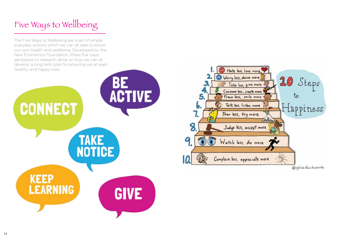

The Five Ways to Wellbeing are a set of simple everyday actions which we can all take to boost our own health and wellbeing. Developed by the New Economics Foundation, these five ways are based on research done on how we can all develop a long term plan for ensuring we all lead healthy and happy lives.